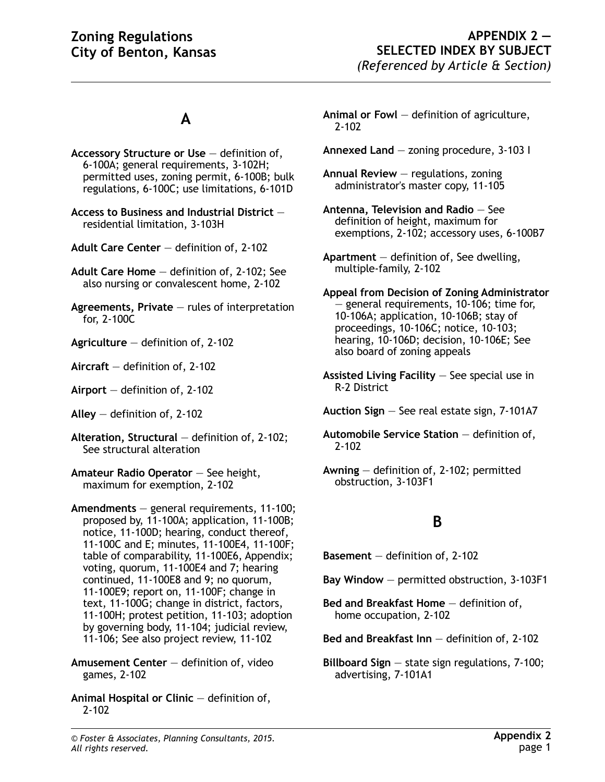## **A**

- **Accessory Structure or Use** definition of, 6-100A; general requirements, 3-102H; permitted uses, zoning permit, 6-100B; bulk regulations, 6-100C; use limitations, 6-101D
- **Access to Business and Industrial District** residential limitation, 3-103H
- **Adult Care Center** definition of, 2-102
- **Adult Care Home** definition of, 2-102; See also nursing or convalescent home, 2-102
- **Agreements, Private** rules of interpretation for, 2-100C
- **Agriculture** definition of, 2-102
- **Aircraft** definition of, 2-102
- **Airport** definition of, 2-102
- **Alley** definition of, 2-102
- **Alteration, Structural** definition of, 2-102; See structural alteration
- **Amateur Radio Operator** See height, maximum for exemption, 2-102
- **Amendments** general requirements, 11-100; proposed by, 11-100A; application, 11-100B; notice, 11-100D; hearing, conduct thereof, 11-100C and E; minutes, 11-100E4, 11-100F; table of comparability, 11-100E6, Appendix; voting, quorum, 11-100E4 and 7; hearing continued, 11-100E8 and 9; no quorum, 11-100E9; report on, 11-100F; change in text, 11-100G; change in district, factors, 11-100H; protest petition, 11-103; adoption by governing body, 11-104; judicial review, 11-106; See also project review, 11-102
- **Amusement Center** definition of, video games, 2-102
- **Animal Hospital or Clinic** definition of, 2-102
- **Animal or Fowl** definition of agriculture, 2-102
- **Annexed Land** zoning procedure, 3-103 I
- **Annual Review** regulations, zoning administrator's master copy, 11-105
- **Antenna, Television and Radio** See definition of height, maximum for exemptions, 2-102; accessory uses, 6-100B7
- **Apartment** definition of, See dwelling, multiple-family, 2-102
- **Appeal from Decision of Zoning Administrator** — general requirements, 10-106; time for, 10-106A; application, 10-106B; stay of proceedings, 10-106C; notice, 10-103; hearing, 10-106D; decision, 10-106E; See also board of zoning appeals
- **Assisted Living Facility** See special use in R-2 District
- **Auction Sign** See real estate sign, 7-101A7
- **Automobile Service Station** definition of, 2-102
- **Awning** definition of, 2-102; permitted obstruction, 3-103F1

## **B**

**Basement** — definition of, 2-102

- **Bay Window** permitted obstruction, 3-103F1
- **Bed and Breakfast Home** definition of, home occupation, 2-102

**Bed and Breakfast Inn** — definition of, 2-102

**Billboard Sign** — state sign regulations, 7-100; advertising, 7-101A1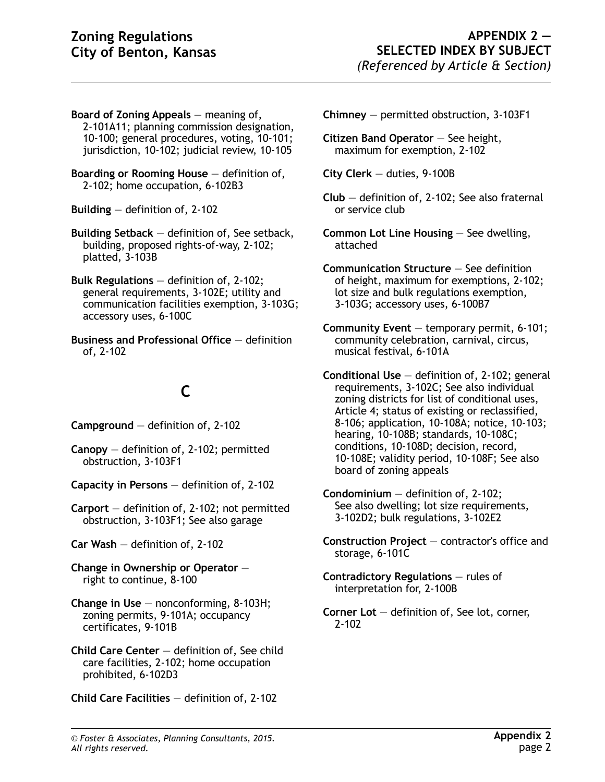- **Board of Zoning Appeals** meaning of, 2-101A11; planning commission designation, 10-100; general procedures, voting, 10-101; jurisdiction, 10-102; judicial review, 10-105
- **Boarding or Rooming House** definition of, 2-102; home occupation, 6-102B3

**Building** — definition of, 2-102

- **Building Setback** definition of, See setback, building, proposed rights-of-way, 2-102; platted, 3-103B
- **Bulk Regulations** definition of, 2-102; general requirements, 3-102E; utility and communication facilities exemption, 3-103G; accessory uses, 6-100C
- **Business and Professional Office** definition of, 2-102

# **C**

**Campground** — definition of, 2-102

- **Canopy** definition of, 2-102; permitted obstruction, 3-103F1
- **Capacity in Persons** definition of, 2-102
- **Carport** definition of, 2-102; not permitted obstruction, 3-103F1; See also garage
- **Car Wash** definition of, 2-102
- **Change in Ownership or Operator** right to continue, 8-100
- **Change in Use** nonconforming, 8-103H; zoning permits, 9-101A; occupancy certificates, 9-101B
- **Child Care Center** definition of, See child care facilities, 2-102; home occupation prohibited, 6-102D3
- **Child Care Facilities** definition of, 2-102
- **Chimney** permitted obstruction, 3-103F1
- **Citizen Band Operator** See height, maximum for exemption, 2-102
- **City Clerk** duties, 9-100B
- **Club** definition of, 2-102; See also fraternal or service club
- **Common Lot Line Housing** See dwelling, attached
- **Communication Structure** See definition of height, maximum for exemptions, 2-102; lot size and bulk regulations exemption, 3-103G; accessory uses, 6-100B7
- **Community Event** temporary permit, 6-101; community celebration, carnival, circus, musical festival, 6-101A
- **Conditional Use** definition of, 2-102; general requirements, 3-102C; See also individual zoning districts for list of conditional uses, Article 4; status of existing or reclassified, 8-106; application, 10-108A; notice, 10-103; hearing, 10-108B; standards, 10-108C; conditions, 10-108D; decision, record, 10-108E; validity period, 10-108F; See also board of zoning appeals
- **Condominium** definition of, 2-102; See also dwelling; lot size requirements, 3-102D2; bulk regulations, 3-102E2
- **Construction Project** contractor's office and storage, 6-101C
- **Contradictory Regulations** rules of interpretation for, 2-100B
- **Corner Lot** definition of, See lot, corner, 2-102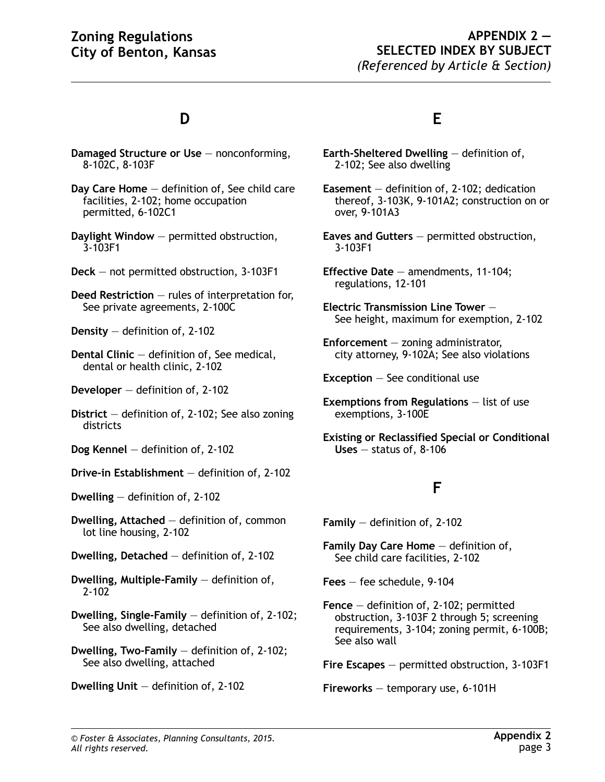#### **APPENDIX 2 — SELECTED INDEX BY SUBJECT** *(Referenced by Article & Section)*

## **D**

- **Damaged Structure or Use** nonconforming, 8-102C, 8-103F
- **Day Care Home** definition of, See child care facilities, 2-102; home occupation permitted, 6-102C1
- **Daylight Window** permitted obstruction, 3-103F1
- **Deck** not permitted obstruction, 3-103F1
- **Deed Restriction** rules of interpretation for, See private agreements, 2-100C
- **Density** definition of, 2-102
- **Dental Clinic** definition of, See medical, dental or health clinic, 2-102
- **Developer** definition of, 2-102
- **District** definition of, 2-102; See also zoning districts
- **Dog Kennel** definition of, 2-102
- **Drive-in Establishment** definition of, 2-102
- **Dwelling** definition of, 2-102
- **Dwelling, Attached** definition of, common lot line housing, 2-102
- **Dwelling, Detached** definition of, 2-102
- **Dwelling, Multiple-Family** definition of, 2-102
- **Dwelling, Single-Family** definition of, 2-102; See also dwelling, detached
- **Dwelling, Two-Family** definition of, 2-102; See also dwelling, attached
- **Dwelling Unit** definition of, 2-102

#### **E**

- **Earth-Sheltered Dwelling** definition of, 2-102; See also dwelling
- **Easement** definition of, 2-102; dedication thereof, 3-103K, 9-101A2; construction on or over, 9-101A3
- **Eaves and Gutters** permitted obstruction, 3-103F1
- **Effective Date** amendments, 11-104; regulations, 12-101
- **Electric Transmission Line Tower** See height, maximum for exemption, 2-102
- **Enforcement** zoning administrator, city attorney, 9-102A; See also violations

**Exception** — See conditional use

- **Exemptions from Regulations** list of use exemptions, 3-100E
- **Existing or Reclassified Special or Conditional Uses** — status of, 8-106

## **F**

**Family** — definition of, 2-102

**Family Day Care Home** — definition of, See child care facilities, 2-102

**Fees** — fee schedule, 9-104

- **Fence** definition of, 2-102; permitted obstruction, 3-103F 2 through 5; screening requirements, 3-104; zoning permit, 6-100B; See also wall
- **Fire Escapes** permitted obstruction, 3-103F1

**Fireworks** — temporary use, 6-101H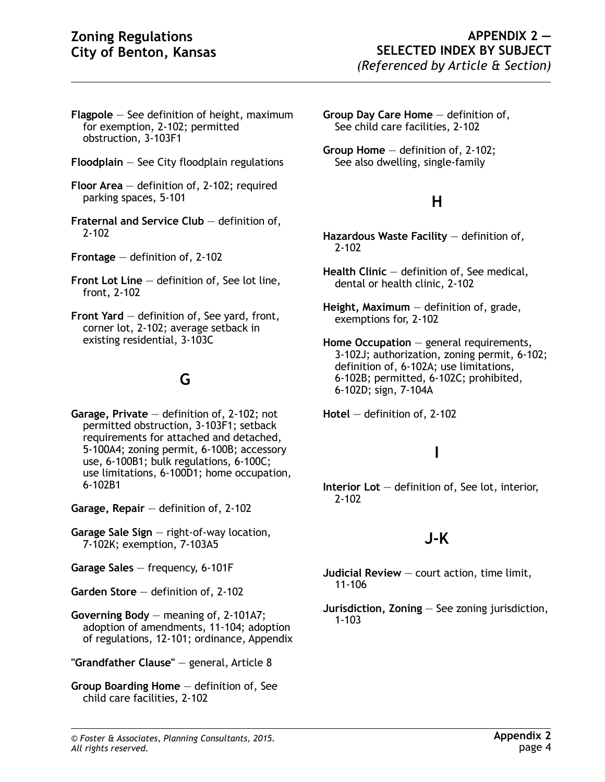- **Flagpole** See definition of height, maximum for exemption, 2-102; permitted obstruction, 3-103F1
- **Floodplain** See City floodplain regulations
- **Floor Area** definition of, 2-102; required parking spaces, 5-101
- **Fraternal and Service Club** definition of, 2-102
- **Frontage** definition of, 2-102
- **Front Lot Line** definition of, See lot line, front, 2-102
- **Front Yard** definition of, See yard, front, corner lot, 2-102; average setback in existing residential, 3-103C

# **G**

- **Garage, Private** definition of, 2-102; not permitted obstruction, 3-103F1; setback requirements for attached and detached, 5-100A4; zoning permit, 6-100B; accessory use, 6-100B1; bulk regulations, 6-100C; use limitations, 6-100D1; home occupation, 6-102B1
- **Garage, Repair** definition of, 2-102
- **Garage Sale Sign** right-of-way location, 7-102K; exemption, 7-103A5
- **Garage Sales** frequency, 6-101F
- **Garden Store** definition of, 2-102
- **Governing Body** meaning of, 2-101A7; adoption of amendments, 11-104; adoption of regulations, 12-101; ordinance, Appendix
- **"Grandfather Clause"** general, Article 8
- **Group Boarding Home** definition of, See child care facilities, 2-102
- **Group Day Care Home** definition of, See child care facilities, 2-102
- **Group Home** definition of, 2-102; See also dwelling, single-family

### **H**

- **Hazardous Waste Facility** definition of, 2-102
- **Health Clinic** definition of, See medical, dental or health clinic, 2-102
- **Height, Maximum** definition of, grade, exemptions for, 2-102
- **Home Occupation** general requirements, 3-102J; authorization, zoning permit, 6-102; definition of, 6-102A; use limitations, 6-102B; permitted, 6-102C; prohibited, 6-102D; sign, 7-104A

**Hotel** — definition of, 2-102

# **I**

**Interior Lot** — definition of, See lot, interior, 2-102

## **J-K**

- **Judicial Review** court action, time limit, 11-106
- **Jurisdiction, Zoning** See zoning jurisdiction, 1-103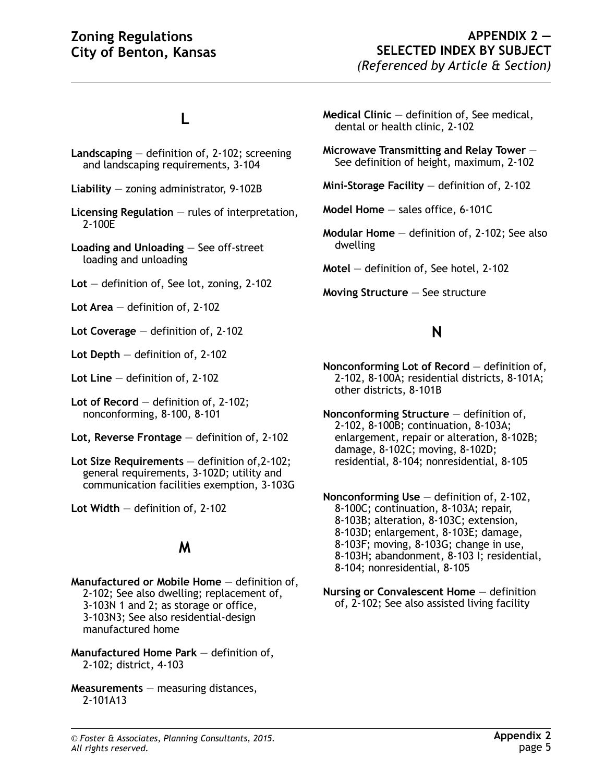# **L**

**Landscaping** — definition of, 2-102; screening and landscaping requirements, 3-104

**Liability** — zoning administrator, 9-102B

- **Licensing Regulation** rules of interpretation, 2-100E
- **Loading and Unloading** See off-street loading and unloading
- **Lot** definition of, See lot, zoning, 2-102

**Lot Area** — definition of, 2-102

**Lot Coverage** — definition of, 2-102

**Lot Depth** — definition of, 2-102

**Lot Line** — definition of, 2-102

**Lot of Record** — definition of, 2-102; nonconforming, 8-100, 8-101

- **Lot, Reverse Frontage** definition of, 2-102
- **Lot Size Requirements** definition of,2-102; general requirements, 3-102D; utility and communication facilities exemption, 3-103G

**Lot Width** — definition of, 2-102

#### **M**

**Manufactured or Mobile Home** — definition of, 2-102; See also dwelling; replacement of, 3-103N 1 and 2; as storage or office, 3-103N3; See also residential-design manufactured home

- **Manufactured Home Park** definition of, 2-102; district, 4-103
- **Measurements** measuring distances, 2-101A13
- **Medical Clinic** definition of, See medical, dental or health clinic, 2-102
- **Microwave Transmitting and Relay Tower** See definition of height, maximum, 2-102
- **Mini-Storage Facility** definition of, 2-102

**Model Home** — sales office, 6-101C

**Modular Home** — definition of, 2-102; See also dwelling

**Motel** — definition of, See hotel, 2-102

**Moving Structure** — See structure

### **N**

**Nonconforming Lot of Record** — definition of, 2-102, 8-100A; residential districts, 8-101A; other districts, 8-101B

**Nonconforming Structure** — definition of, 2-102, 8-100B; continuation, 8-103A; enlargement, repair or alteration, 8-102B; damage, 8-102C; moving, 8-102D; residential, 8-104; nonresidential, 8-105

**Nonconforming Use** — definition of, 2-102, 8-100C; continuation, 8-103A; repair, 8-103B; alteration, 8-103C; extension, 8-103D; enlargement, 8-103E; damage, 8-103F; moving, 8-103G; change in use, 8-103H; abandonment, 8-103 I; residential, 8-104; nonresidential, 8-105

**Nursing or Convalescent Home** — definition of, 2-102; See also assisted living facility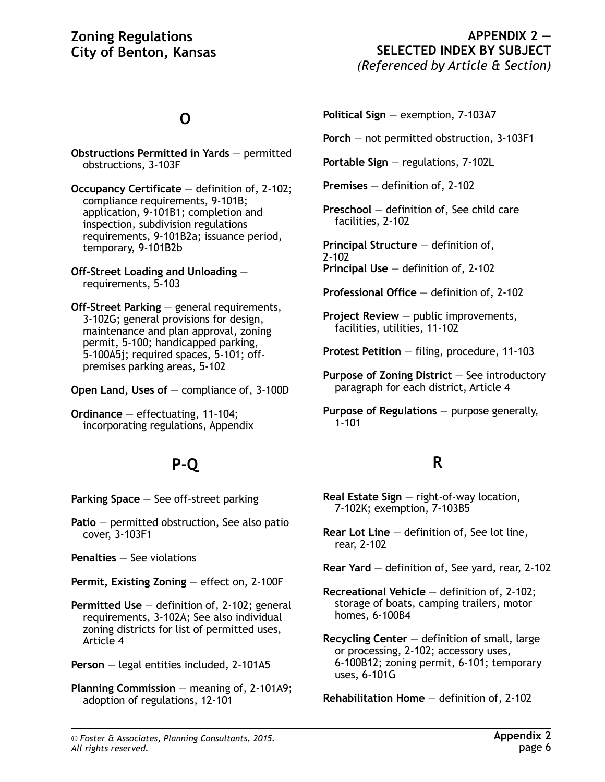# **O**

- **Obstructions Permitted in Yards** permitted obstructions, 3-103F
- **Occupancy Certificate** definition of, 2-102; compliance requirements, 9-101B; application, 9-101B1; completion and inspection, subdivision regulations requirements, 9-101B2a; issuance period, temporary, 9-101B2b
- **Off-Street Loading and Unloading** requirements, 5-103
- **Off-Street Parking** general requirements, 3-102G; general provisions for design, maintenance and plan approval, zoning permit, 5-100; handicapped parking, 5-100A5j; required spaces, 5-101; offpremises parking areas, 5-102
- **Open Land, Uses of** compliance of, 3-100D
- **Ordinance** effectuating, 11-104; incorporating regulations, Appendix

# **P-Q**

- **Parking Space** See off-street parking
- **Patio** permitted obstruction, See also patio cover, 3-103F1
- **Penalties** See violations
- **Permit, Existing Zoning** effect on, 2-100F
- **Permitted Use** definition of, 2-102; general requirements, 3-102A; See also individual zoning districts for list of permitted uses, Article 4
- **Person** legal entities included, 2-101A5
- **Planning Commission** meaning of, 2-101A9; adoption of regulations, 12-101
- **Political Sign** exemption, 7-103A7
- **Porch** not permitted obstruction, 3-103F1
- **Portable Sign** regulations, 7-102L
- **Premises** definition of, 2-102
- **Preschool** definition of, See child care facilities, 2-102
- **Principal Structure** definition of, 2-102 **Principal Use** — definition of, 2-102
- **Professional Office** definition of, 2-102
- **Project Review** public improvements, facilities, utilities, 11-102
- **Protest Petition** filing, procedure, 11-103
- **Purpose of Zoning District** See introductory paragraph for each district, Article 4
- **Purpose of Regulations** purpose generally, 1-101

## **R**

- **Real Estate Sign** right-of-way location, 7-102K; exemption, 7-103B5
- **Rear Lot Line** definition of, See lot line, rear, 2-102
- **Rear Yard** definition of, See yard, rear, 2-102
- **Recreational Vehicle** definition of, 2-102; storage of boats, camping trailers, motor homes, 6-100B4
- **Recycling Center** definition of small, large or processing, 2-102; accessory uses, 6-100B12; zoning permit, 6-101; temporary uses, 6-101G

**Rehabilitation Home** — definition of, 2-102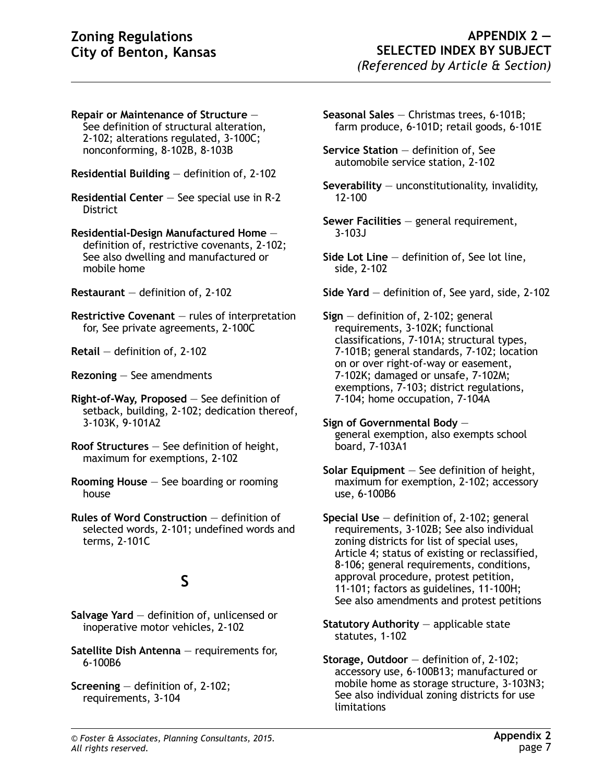- **Repair or Maintenance of Structure** See definition of structural alteration, 2-102; alterations regulated, 3-100C; nonconforming, 8-102B, 8-103B
- **Residential Building** definition of, 2-102
- **Residential Center** See special use in R-2 **District**

**Residential-Design Manufactured Home** definition of, restrictive covenants, 2-102; See also dwelling and manufactured or mobile home

**Restaurant** — definition of, 2-102

- **Restrictive Covenant** rules of interpretation for, See private agreements, 2-100C
- **Retail** definition of, 2-102
- **Rezoning** See amendments
- **Right-of-Way, Proposed** See definition of setback, building, 2-102; dedication thereof, 3-103K, 9-101A2
- **Roof Structures** See definition of height, maximum for exemptions, 2-102
- **Rooming House** See boarding or rooming house
- **Rules of Word Construction** definition of selected words, 2-101; undefined words and terms, 2-101C

## **S**

- **Salvage Yard** definition of, unlicensed or inoperative motor vehicles, 2-102
- **Satellite Dish Antenna** requirements for, 6-100B6
- **Screening** definition of, 2-102; requirements, 3-104
- **Seasonal Sales** Christmas trees, 6-101B; farm produce, 6-101D; retail goods, 6-101E
- **Service Station** definition of, See automobile service station, 2-102
- **Severability** unconstitutionality, invalidity, 12-100
- **Sewer Facilities** general requirement, 3-103J
- **Side Lot Line** definition of, See lot line, side, 2-102
- **Side Yard** definition of, See yard, side, 2-102

**Sign** — definition of, 2-102; general requirements, 3-102K; functional classifications, 7-101A; structural types, 7-101B; general standards, 7-102; location on or over right-of-way or easement, 7-102K; damaged or unsafe, 7-102M; exemptions, 7-103; district regulations, 7-104; home occupation, 7-104A

- **Sign of Governmental Body** general exemption, also exempts school board, 7-103A1
- **Solar Equipment** See definition of height, maximum for exemption, 2-102; accessory use, 6-100B6
- **Special Use** definition of, 2-102; general requirements, 3-102B; See also individual zoning districts for list of special uses, Article 4; status of existing or reclassified, 8-106; general requirements, conditions, approval procedure, protest petition, 11-101; factors as guidelines, 11-100H; See also amendments and protest petitions
- **Statutory Authority** applicable state statutes, 1-102
- **Storage, Outdoor** definition of, 2-102; accessory use, 6-100B13; manufactured or mobile home as storage structure, 3-103N3; See also individual zoning districts for use limitations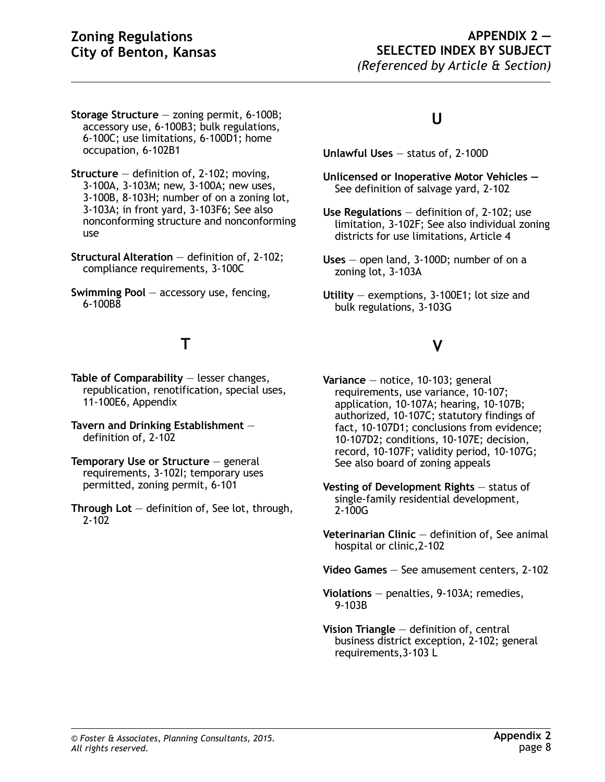- **Storage Structure** zoning permit, 6-100B; accessory use, 6-100B3; bulk regulations, 6-100C; use limitations, 6-100D1; home occupation, 6-102B1
- **Structure** definition of, 2-102; moving, 3-100A, 3-103M; new, 3-100A; new uses, 3-100B, 8-103H; number of on a zoning lot, 3-103A; in front yard, 3-103F6; See also nonconforming structure and nonconforming use
- **Structural Alteration** definition of, 2-102; compliance requirements, 3-100C
- **Swimming Pool** accessory use, fencing, 6-100B8

## **T**

**Table of Comparability** — lesser changes, republication, renotification, special uses, 11-100E6, Appendix

- **Tavern and Drinking Establishment** definition of, 2-102
- **Temporary Use or Structure** general requirements, 3-102I; temporary uses permitted, zoning permit, 6-101
- **Through Lot** definition of, See lot, through, 2-102

## **U**

- **Unlawful Uses** status of, 2-100D
- **Unlicensed or Inoperative Motor Vehicles**  See definition of salvage yard, 2-102
- **Use Regulations** definition of, 2-102; use limitation, 3-102F; See also individual zoning districts for use limitations, Article 4
- **Uses** open land, 3-100D; number of on a zoning lot, 3-103A
- **Utility** exemptions, 3-100E1; lot size and bulk regulations, 3-103G

## **V**

- **Variance** notice, 10-103; general requirements, use variance, 10-107; application, 10-107A; hearing, 10-107B; authorized, 10-107C; statutory findings of fact, 10-107D1; conclusions from evidence; 10-107D2; conditions, 10-107E; decision, record, 10-107F; validity period, 10-107G; See also board of zoning appeals
- **Vesting of Development Rights** status of single-family residential development, 2-100G
- **Veterinarian Clinic** definition of, See animal hospital or clinic,2-102
- **Video Games** See amusement centers, 2-102
- **Violations** penalties, 9-103A; remedies, 9-103B
- **Vision Triangle** definition of, central business district exception, 2-102; general requirements,3-103 L